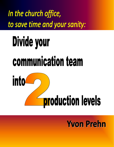In the church office, to save time and your sanity:

# Divide your communication team



# **Yvon Prehn**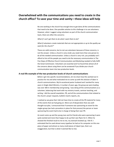#### **Overwhelmed with the communications you need to create in the church office? To save your time and sanity—these ideas will help**

No one working in the church has enough time to get done all the communications that need to be done. One possible solution to this challenge is to use volunteers. However, when I suggest using volunteers as part of the church communication team, there are often the concerns:

*What if I can't get them to do what I want them to do?*

*What if volunteers create materials that are not appropriate or up to the quality we want for the church?"*

These are valid concerns, but to not use volunteers because of these concerns, is not the answer. Unless a church is very small, you need more than one person to do all the needed communication. Unless a church is very rich, you probably can't afford to hire all the people you need to do the necessary communication in The Five Steps of Effective Church Communication and Marketing needed to fully fulfill the Great Commission. Volunteers are essential and I've found that almost all of the concerns about using them can be answered if you divide your church communication team into two production levels.

#### **A real‐life example of the two production levels of church communications**

Before I get into specific recommendations, let me share how this worked out in practice for me and what motivated me to come up with this division of labor in church communications. My bi-vocational pastor husband and I worked for many years in Single Adult Ministry. A number of years ago, the group we were leading was over 300 in membership and growing. I was doing all the communications as a volunteer, balancing that work with my ministry travels, seminar teaching, and writing. I did the overall newsletter, PR, and all the communications that related to the church: prayer requests, bulletin inserts reports, etc.

I realized as we grew that I did not have time to create all the PR material for many of the events that we had going on. More out of desperation than any wellthought‐out plan, I announced that if someone was sponsoring an event for the singles group (we had a procedure in place for that process) the person or team sponsoring the event had to be in charge of doing their own PR.

An event came up and the young man and his friends who were sponsoring it were quite excited and more than happy to do up their own flyers for it. When he showed the finished result to me to me, my stomach knotted up; I felt ill. I estimated that he used almost every typeface he had on his computer on this one piece of paper and almost as many small pieces of clipart (yes, that is an exaggeration, but that is what it seemed like to me).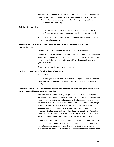He was so excited about it. I wanted to throw up. It was honestly one of the ugliest flyers I think I'd ever seen. It did have all the information needed: it gave good directions, had a map, and clearly explained what was going on, but to my designer‐trained eye—it was ugly.

#### **But did I tell him that?**

I'm sure the Lord sent an angel to cover my mouth, but this is what I heard come out of it, "That is wonderful—thank you so much for all your hard work on it!"

He printed the flyers in color (made it worse, I thought), mailed and gave them out. The event was a huge success.

#### **My personal preference in design style meant little in the success of a flyer that met needs**

I learned an important communication lesson from that experience.

I learned that if you are a lonely single person and you find out about an event that is free, that nice folks will be at it, that the event has food and free child care, and you get a flyer that clearly communicates all of this—do you really care what typeface is used?

Or how many pieces of clipart are on the paper?

#### **Or that it doesn't pass "quality design" standards?**

Of course not.

The core message was there, it told you what was going on and how to get to the event. People came and their lives were blessed, even by (what I considered) an ugly flyer.

#### **I realized then that a church communication ministry could have two production levels for success and less stress for all involved**

One level could be carefully managed to produce materials that needed to be a certain quality for the church overall. Though his flyer worked to get people to the event, something like that turned in to the church office to promote an event to the church overall would not have been appropriate. But there were many things going on in the ministry where this would be appropriate. Another level of communication creation could consist of projects you could joyfully turn loose and encourage—the flyers, postcards, reminders that were essential to get people to events that were distributed within the group. Having more than one standard for success in communication creation was liberating mentally and in practice.

As time went on we developed a communication team for the second level and a number of people developed skills in communication ministry. In the long term, many of the people on the team have since gone on to other churches and ministries and the training they received as part of the communication team there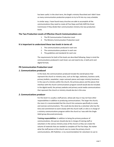has been useful. In the short term, the Single's ministry flourished and I didn't have so many communication production projects to try to fit into my crazy schedule.

In similar ways, I have found many churches are able to accomplish all the communications they need to create all Five Steps and fully fulfill the Great Commission if they divide their communication ministry into two production levels.

#### **The Two Production Levels of Effective Church Communications are:**

- 1. The PR Communication Production Level
- 2. The Ministry Communication Production Level

#### **It is important to understand these two levels in terms of:**

- 1. The communications produced in each one
- 2. The communications producer in each one
- 3. The guidelines and standards for each one

The requirements for both of the levels are described following. Keep in mind the communications produced in each level, can and need to be, in both print and digital formats.

#### **PR Communication Production Level**

#### *1. Communications produced*

In this level, the communications produced include the overall pieces that represent the church or ministry area, such as the logo, stationary, business cards, primary bulletin, newsletter, major outreach pieces and major ministry brochures. In the case of a ministry within the church, the primary pieces and the pieces that interface with the church communications program overall would also be included. In the digital world, the primary website and primary social media communications that represent the church or ministry should also be in this area.

#### *2. Communications producer*

For this level it is usually a staff person, whose job may or may not have other responsibilities in addition to producing communications. The larger the church, the more it is recommended that the church hire someone specifically to create and oversee communications. This could also be done by a volunteer who has the time and commitment to work closely with the church staff, or who is in charge of a ministry communications program within the church as I was with the Single Adult group discussed previously.

**Training responsibilities:** In addition to being the primary producer of communications, this person should also be in charge of training staff or volunteers in the various ministry areas of the church so they can create the volume of materials that are needed to complete all The Five Steps. No matter what the staff person at the church uses to create the primary church communications, MS Publisher, is my recommendation for volunteers to use to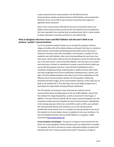create most print church communications. On the Effective Church Communications website are demonstrations of MS Publisher and an ebook that illustrates all you can do with it, plus resources to purchase the program at significant church discounts.

Some church communicators feel that for the church overall they need to use Adobe Creative Suite and that may be true for the materials that are produced at this level, especially if you interface with an outside printer. But it is rarely realistic to expect volunteers to purchase and learn to use Creative Suite.

#### **Note to designers who have never used MS Publisher and who don't think it can produce "quality" communications:**

Try it! You would be amazed at what you can do with this program! I learned design on the Mac with all the Adobe software and loved it. But then as I started to teach seminars and actually started doing communication work it the church, I realized if I wanted to work with real people in real churches, I needed a PC and needed to learn MS Publisher. After some initial grumbling and more than a few tears when I sold my Mac (I did not have the discipline to use the PC when the Mac was in the same room), I came to love MS Publisher. Over the years as I've used it more and more, I've been on somewhat of crusade to push the limits of what you can do with that program and now I create all kinds of publications with it, including hi‐end glossy printing, website graphics, headers and ads, book covers and every imaginable kind of church publication including banners, posters, and signs. All of the editable templates and ready‐to‐print church publications on the Effective Church Communications website, all of the graphics, sidebar ads, thumbnail and other images, all my church website materials, all the covers for my book are all created with it. The only thing I still use the Adobe programs for is book layout for longer books and typesetting for publication.

The ECC website, has training in many areas that are useful for church communication teams including advice on the use of MS Publisher, some of the free software for image manipulation, as well as resources for free images. In addition, it has lots of church‐specific tips for using a variety of programs, plus lots of ready‐to‐modify and print templates for church communications. Membership in the training resources of the site is only \$9.99 a month or \$99 a year and both the communication director and volunteers can use the site because the membership can be shared. Also, as a member you have permission to use any of the materials on the site (videos, lessons, templates) to train your volunteers. For basic and detailed training in the use of MS Publisher as a program, I highly recommend http://www.lynda.com.

**Create templates and delegate:** The person in charge of communication for the church can create templates and the volunteer team can update them as needed. For example, the church may want to create a flyer/postcard/give-out piece that advertises the men's ministry activities each month. The person in charge of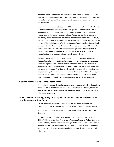communications might design the overall logo and layout and set up a template. Then the volunteer communicator could track down the monthly details, write and edit and create the monthly piece, then email it back to the church to be printed and distributed.

**Lead in inspiration and motivation:** In addition to providing training in the how‐tos of church communications, the person in charge should work hard to instill in volunteers excitement about their work, a ministry perspective, and Biblical passion for creating church communications. The eternal destiny of people is affected by church communications and we need to remind each other of the joy and responsibility of that. We need the Lord's help, wisdom and strength as we do our work. The book, *Devotions for Church Communicators* (available in download format on the Effective Church Communication website and in print form on the amazon site) provides weekly devotions and thought‐provoking essays that will help churches create a communications team with the necessary ministry motivation to create communications that will change lives.

I highly recommend that before you start meetings on communication projects that you take a few minutes to read a devotion or Bible passage and pray about your work together. Remember as church communicators you are involved in spiritual warfare for the souls of people and you need the Lord's help, protection and peace as you work. Take time to acknowledge him and ask for help. Pray also for peace among the communication team and church staff and that the Lord give grant insight into your communication choices so that you touch hearts, meet needs, and motivate people to action in ways that are pleasing to our Lord.

#### *3. Communications Guidelines and Standards*

Communication standards need to be somewhat strict at this level, as these pieces reflect the overall vision and reputation of the church or of a ministry within the church. Also, this is the level where the standards are set for what is expected in all other communications.

#### **As part of standard setting, though it is a significant amount of work, churches should consider creating a Style Guide.**

A Style Guide will solve many problems upfront by setting standards and expectations. It can be as simple or as detailed as you want, but should contain:

How the logo, purpose statement or slogan of the church is to be used, colors, sizes, etc.

Key terms in the church, what is capitalized, how to use them, e.g. "elders" or "Elders," titles of pastoral staff: Rev., Right Reverend, Pastor, or Father, Brother or Sister, First Lady, Bishop, whatever is appropriate for your church. This is far from standard and will help people new to your church or denomination. If someone works in the church office who does not belong to your denomination, this will be a life‐saver.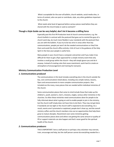What is acceptable for the over‐all bulletin, church website, social media sites, in terms of content, who can post or contribute, style, any other guidelines important to the church.

What needs what level of approval before various pieces need before they are shared with the church body or used as outreach?

#### **Though a Style Guide can be very helpful, don't let it become a stifling force**

Especially past this first PR Production level of church communications, e.g. the church bulletin in contrast with the postcard that goes out to remind the guys of a church work day, be much more flexible in your standards with the postcard than you are with the bulletin. If you try to be too strict in areas other than key communications, people just won't do the needed communications or they'll do them and avoid the church office entirely. A bit of trust in the guidance of the Holy Spirit in the lives your people is useful here.

Many people in your church have a computer and printer and if you make it too difficult for them to get a flyer approved for a simple ministry event that only involves a small group within the church—they will simply ignore you and do it anyway. Instead of creating rules that cause resentment, work hard to create an atmosphere of encouragement and training for everyone.

#### **Ministry Communication Production Level**

#### *1. Communications produced*

The communications in this level includes everything else in the church outside the key, core communications listed above, including very simple notices, lessons, flyers and announcements to more complex communication projects. Also included are the many, many pieces that are needed within individual ministries of the church.

Some communication pieces that come to mind include those that make up the children's, youth, women's, men's, missions, singles, various other ministries in the churches. So often these ministries need communications done for people to be fully informed about what is going on and to enable people to join in the ministry, but the church staff simply does not have time to do them. They may not get done if standards are too tight or the church staff is expected to do everything. As a result, events aren't promoted or explained, people don't show up, and the overall ministry suffers and the church members miss out on opportunities that help them grow to mature disciples. Resentment over some ministries getting communications pieces done and others not getting the same amount or quality of PR or support materials can also happen and that's never good for the spiritual health of the church.

#### *2. Communications producers*

THIS IS IMPORTANT: here a staff person or perhaps a key volunteer may oversee, train, encourage and help, but the staff person cannot do everything needed for a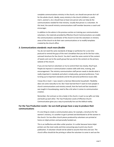complete communications ministry in the church, nor should one person do it all for the whole church. Ideally, every ministry in the church (children's, youth, men's, women's, etc.) should have at least one person who can help do the communications needed for that ministry. Usually that person is a volunteer. At this level, the overall ministry communications staff member becomes a coach and encourager.

In addition to the advice in the previous section on training your communication volunteers, the materials provided by Effective Church Communications can enable the communications coordinator of the church to train the volunteers in ministry areas of the church to do their own communications or to modify templates created by the church office.

#### *3. Communications standards: much more flexible*

You do not need the same standards of design or perfection for a one‐time postcard to remind the guys of the men's breakfast that you do for the four‐color, outreach brochure for the church. You don't need the same control of the content of tweets sent out to the youth group that you do for the content on the primary website of the church.

If you are too hard on volunteers or try to control them too closely, they'll quit. People do improve in communication creation skills with time, training, and encouragement. The ministry communication staff person needs to decide what is really important in standards and what is simply picky, personal preference. Train to bring up to important standards and let the personal preference issues slide.

I know this is hard—I was raised in a German Mennonite household—flexibility does not come naturally to me. But I have learned that if I want to train people in church communications and ministry overall, that the hard and fast standards I was taught in housekeeping, need to flex a bit when it comes to communication creation.

Remember, the Lord put us into a body in the church, in part so our gifts can help and build up each other. The Two Production Levels of Effective Church Communication gives you a way to practically live out this biblical reality.

#### **For the Two Production Levels—be sure both groups have a way to produce their communications**

It's one thing to create a communication piece, for example, a brochure for the women's ministry, it is another to get it printed and distributed to all the women in the church. Far too often church pieces produced by volunteers are printed at home on inkjet printers and personally handed out.

This is an ineffective and often unfair practice. It is unfair because home inkjet printers are the most costly and time‐consuming way to print any church publication. A volunteer should not be asked to assume that time and cost. The church office should do the printing or allow the volunteer to come in and use the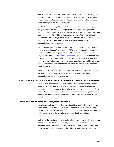church equipment to print what they have created. One very effective way to do this is for the volunteer to save their publication as a PDF, send it to the church office via email, and then the church office staff or a communication production volunteer can print and distribute the piece.

The PDF format allows a publication to be printed by the person receiving it even though they may not have the same programs or typefaces. Though Adobe Acrobat is a high quality program that can do this, most volunteers don't have it or want to spend the \$200-400 it costs to get the program. The newer Microsoft Publisher programs allow you to save in the PDF format. This can work well and the process of saving and sending materials as a PDF should be part of the communications training process.

The challenge comes in when volunteers create their programs in Print Shop and other programs that don't have a built‐in PDF creator. Fortunately there are excellent free PDF creation programs available. Cute PDF (dumb name, great program, available at: http://www.cutepdf.com ) is one of them. Volunteers simply download the program and install it in their computer. It installs as a print driver and when a publication created in any program is printed with it, a PDF is created. This PDF can then be emailed to the church office and printed on the copier or digital duplicator.

On my training website, is a video that illustrates how to download the Cute PDF software and use it. There are numerous additional articles on church communications teams on this site also.

#### **Your standards of perfection are not what ultimately results in communication success**

This is hard to share because I know from many conversations and emails that some people in the church feel that if all the communications are not perfect (according to their definition of the term) that the church cannot be successful. In other instances some people feel if their publications contain one typo they have somehow let down the church and the Lord. Following is an article that may be helpful:

#### **Perfection in church communications, inspired by Jesus**

Sometimes people don't think they are doing all they can for the Lord, that they aren't excellent or perfect enough in their communications ministry unless what they produce is done in slick, full‐color printing, preferably produced by an outside design company, or in the case of a website, one that is professionally programmed.

Sadly, since the standards of design and production are so high, it also often means that no one in the church is considered good enough to create the communications in print or on the website, so an outside, professional firm must be hired to do it or only products purchased from a professional company are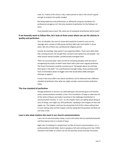used. Or, if done at the church, only a select person or two in the church is good enough to produce the quality needed.

But being expensive and professional, as defined by using the standards of a professional ad agency isn't the only standard of perfection for the followers of Jesus.

If we honestly look at Jesus' life, what sort of standards of perfection did he have?

#### **If we honestly want to follow Him, let's look at three areas where we see his choices in quality and perfection**

*First, his disciples:* the ones he chose who would be trusted to carry out his message were a pretty scruffy group and they didn't get much better in three years. Not one of them was a professional religious person.

*Second, his meetings:* they weren't very organized affairs. There were often little kids running around, not enough food, constant interruptions by sick people—not what anyone would consider a professionally managed event.

*Third, his succession plan:* when he left his remaining disciples with the task of evangelizing the world, he didn't leave them with a plan even vaguely perfected. The Great Commission could be summed up as "tell people about me and help them grow in the faith." For a perfectionist manager today, those parting words have a tremendous about of wiggle room that would allow wildly divergent attempts to apply it.

It wasn't that Jesus didn't care about excellence, but he obviously had a different standard of perfection than what we might consider communication perfection today.

#### **The true standard of perfection**

Though perfection in service is an admirable goal, the primary goal in all ministry areas, communications included, is love. First Corinthians 13 helps us take love out of the realm of theory and make it practical in the challenge of perfection in communication ministry. In 1 Cor. 13, the chapter starts out talking about doing all sorts of things, one might say, with perfection: speaking in the tongues of men and angels, etc. The chapter continues by saying that if all of this is done without love it's just making noise and the chapter ends by saying that the greatest attribute we can have is love.

#### **Love is also what matters the most in our church communications**

I see a lot of communications today, in print and online that are perfectly beautiful and that express love in a variety of ways.

Right now I'm looking at a sample from my files of church communications: it is a professionally printed folder, done in gorgeous full color printing and it has 2 DVDs inserted in the folder so visitors can see the worship service and hear the praise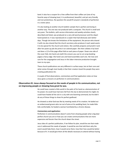band. It also has a coupon for a free coffee from their coffee cart (one of my favorite ways of showing love). It is professional, beautiful, and yet very friendly and non‐pretentious. No question this would fit anyone's standards of perfection in a visitor piece.

I'm also looking at another church bulletin sample that is perfect and loving in another way. This one was not produced with a computer. The church is small and very poor. The bulletin, with service information and weekly activities clearly described and listed, was produced on a very old word processor and the clipart hand‐pasted on. It was reproduced on a copier that had obviously seen better days. Though she knows the limitations of the equipment, the person who shared it with me also shared that the church secretary who produces it each week wants it to be special for the church and visitors. She carefully prepares and proofs it and after her paste‐up job she prints it on colored paper. She then collates it by hand and does a 1/3 of the page offset fold on each piece of paper. Down one side of the cover fold, she hand‐cuts (with the scissors you use to cut scrap‐booking pages) a fancy edge. She hand‐cuts and hand‐assembles each one. Her love and care for the congregation and Jesus in this labor‐intensive production brought tears to my eyes.

These church publications are very different in surface ways, but at their core and what comes through most loudly is that their creators loved the people they were creating publications for.

A couple of final observations, commentary and final application notes on how Jesus gives us lessons on perfection in communications:

#### **Observation #1: Jesus always focused on the needs of people in his communication, not on impressing people or showing how great he was.**

He could have created a little world in the palm of his hand as a demonstration of his power; he could have had stars fall from the sky to demonstrate his might; he could have healed all the sick in a city with one booming command, but he didn't do any of those things to show his perfect godhood.

He showed us what God was like by meeting needs of his creation. He bailed out an embarrassed groom who ran out of wine at his wedding feast; he made little kids comfortable; he healed a woman humiliated by a chronic disease.

#### *Commentary and application:*

Perfection in communications doesn't come from showing people what a big-deal perfect church you are or how you can create communications that are more expensive and fancier than the church down the street.

Jesus idea of a perfect publication, if we follow his plan, would be one that made sure it addressed the needs of people. It would be one that told them why the event would help them, how it would serve them, how their lives would be better because of it. It would give them all the details necessary to attend without having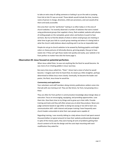to take an extra step of calling someone or looking it up on the web or jumping from link to link if it was an email. Those details would include the time, location, name of person in charge, directions, child care provisions, and cost would all be there and easily accessible.

One area that I see this "perfection" lacking in so often today is in the area of church websites. I've recently observed a number of websites that were created using professional groups that supplied a fancy, flash‐enabled, website with photos of smiling people on the nameplate, great colors and buttons to push to hear sermons. But try to find the details of what or where small groups are meeting or what time to get your kids to a youth group meeting and where it is being held or what the church really believes about anything and it can be an impossible task.

People do not go to church websites to be wowed by flashing graphics and bright colors or cheesy pictures of ethnically‐diverse, grinning people, they go to have needs met. If they can't get those needs met quickly and easily, your website is far from perfect no matter how slick the home page is.

#### **Observation #2: Jesus focused on potential perfection.**

When Jesus called Peter, he was not anything like the Rock he would become. He was more of an irritating pebble in Jesus' journeys.

But every time Jesus called him, "Peter", Simon had a vision of what he would become. I imagine each time he heard that, he stood up a little straighter, perhaps determined to follow Jesus more closely. Eventually, he became the leader and pastor, the Rock, Jesus knew he would be.

#### *Commentary and application*

Your volunteers and staff members doing ministry publications seldom come into that job with any training at all. They are like Simon, far from, but growing into a Peter.

They are often far from perfect in communication knowledge about design ideas or execution. Focus on encouraging, equipping, and providing opportunities. Love them lots. Give them time to try things and to grow up in their skills. Provide training and tools and they will often amaze you at what they produce. Never pre‐ judge someone based on age either as being too young or too old to learn any communication skill—with interest and proper training I have frequently seen church leaders astounded at what their own people were capable of.

Regarding training, I was recently talking to a lady whose church had spent several thousand dollars (a typical amount) to have their website professionally designed. In spite of the money spent, they were having all sorts of problems getting their church content to fit into the design and the costs kept mounting with each modification they asked for.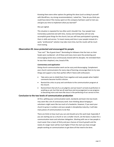Knowing there were other options for getting this done (such as doing it yourself with WordPress, my strong recommendation), I asked her, "How do you think you could have done if the money spent on this company had been used to train you and give you time to implement what you learned?"

She just sighed.

This situation is repeated far too often and it shouldn't be. Your people have tremendous potential and with time, money and training they will not only accomplish great things for the church, but you will have participated in growing them in skills and service. To invest money and time in your people instead of a quick, "professional" solution may take more time, but the results will be much more lasting.

#### **Observation #3: Jesus protected and encouraged his people**

"Fear not!" "Be of good cheer!" Reminding his followers that the hairs on their heads were numbered—all of these and many more were the protecting and encouraging words Jesus continuously shared with his disciples. He reminded them he was their shepherd, vine, bread of life.

#### *Commentary and application*

Doing church communication work can be scary and discouraging. Complement your church communicators for every step of learning; encourage them to try new things and support a less‐than‐perfect effort if done with enthusiasm.

- Take extra care to shield them from negative and nasty people when helpful comments become hurtful criticism.
- Remind the critics to pray and contribute to the communication program at the church.
- Remind them that all of us are pilgrims and we haven't arrived at perfection in anything as yet, but that we all need love and encouragement as we progress to becoming more and more like Jesus in the perfecting of our service to him.

#### **Conclusion to the two levels of communication production**

At first, splitting your communication work, standards and team into two levels may seem like a lot of unnecessary work. Even thinking about bringing in volunteers might seem like too much of a headache. However, if you want your church to grow in numbers and your people in discipleship maturity, it will take many pieces of communications to do that.

There are limits to how much you can and should carry this work load. Especially if you are starting out as a church or are a smaller church, set the basics in place for a communication team and volunteer delegation. Working with one or two people is much easier than a team of thirty and your chances of church growth and the needs of a larger team will be much higher if from the start you have enough people working on communications to get done all that need to be done.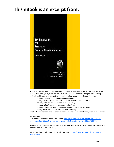# **This eBook is an excerpt from:**



No matter the size, budget, denomination or location of your church, you will be more successful at sharing your message if you do it strategically. This book shares the most important six strategies, that will enable your communications to reach people and grow your church. They are:

Strategy 1: Create multi‐channel communications;

Strategy 2: Divide your communication team into two production levels;

Strategy 3: Always be who you are, where you are;

Strategy 4: Don't let money be a determining factor;

Strategy 5: Make the most of Seasonal Celebrations and Special Events;

Strategy 6: Do not confuse irreverence for relevancy.

This book examines each one‐by‐one and teaches you how to practically apply them in your church.

It is available in:

Print and Kindle editions on amazon.com at: http://www.amazon.com/s/ref=nb\_sb\_ss\_i\_0\_8? url=search‐alias%3Daps&field‐keywords=yvon+prehn&sprefix=yvon+pre%2Caps%2C301

Immediate PDF download: http://www.effectivechurchcom.com/2012/06/ebook‐six‐strategies‐for‐ effective‐church‐communications/

It is also available in all digital and e-reader formats at: https://www.smashwords.com/books/ view/165163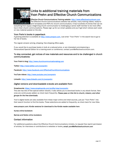

### Links to additional training materials from Yvon Prehn and Effective Church Communications

Effective Church Communications Training website: http://www.effectivechurchcom.com The Effective Church Communications website has articles, many training videos, ready-toprint templates and PDFs for church communicators. It has hundreds of entries that can do

everything from equip a beginning church communicator to challenging a senior staff member to be more effective in their church communications. Please sign up for our email updates and you'll get short notices each week on new material posted on the site.

#### Yvon Prehn's books in paperback

A growing selection is available at http://www.amazon.com. Just enter "Yvon Prehn" in the search box to go to her list of books.

The regular amazon pricing, shipping, free shipping offers apply.

If you would like to purchase books in bulk at a reduced price, or are interested commissioning a Personalized Special Edition for a training event or conference, contact yvon@effectivechurchcom.com.

#### To stay connected, get notices of new materials and resources and to be challenged in church communications:

Yvon Prehn's blog: http://www.churchcommunicationsblog.com

Twitter: http://www.twitter.com/yvonprehn

Facebook: http://www.facebook.com/EffectiveChurchCommunications

YouTube videos: http://www.youtube.com/yvonprehn

LinkedIn: http://www.linkedin.com/in/yvonprehn

#### *Digital versions and downloadable e-books are available from:*

#### Smashwords: https://www.smashwords.com/profile/view/yvonprehn

This site has lots of free special edition ebooks. It also allows you to download books in any ebook format. New ones are continuously added, so check back frequently. *Please pass on this link to church, mission, and other groups for the free downloads.* 

Yvon's digital books are also available from these major online and retail sources, just put "Yvon Prehn" into their search function to find the books. These selections are added to frequently, so check back for new titles.

#### www.amazon.com: Kindle versions for download to the Kindle reader available here

Itunes online bookstore

Barnes and Noble online bookstore

#### Contact information

For additional questions about the Effective Church Communications ministry, to request free reprint permission of articles, for interviews or contributions to websites or books, email: yvon@effectivechurchcom.com